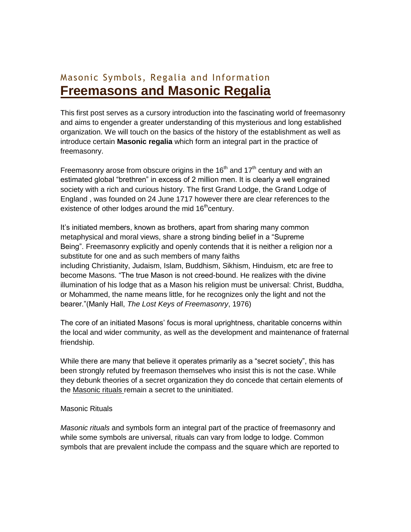## Masonic Symbols, Regalia and Information **[Freemasons and Masonic Regalia](http://www.masonicregaliaportal.com/masonic-regalia/freemasons-and-masonic-regalia)**

This first post serves as a cursory introduction into the fascinating world of freemasonry and aims to engender a greater understanding of this mysterious and long established organization. We will touch on the basics of the history of the establishment as well as introduce certain **Masonic regalia** which form an integral part in the practice of freemasonry.

Freemasonry arose from obscure origins in the 16<sup>th</sup> and 17<sup>th</sup> century and with an estimated global "brethren" in excess of 2 million men. It is clearly a well engrained society with a rich and curious history. The first Grand Lodge, the Grand Lodge of England , was founded on 24 June 1717 however there are clear references to the existence of other lodges around the mid  $16<sup>th</sup>$ century.

It's initiated members, known as brothers, apart from sharing many common metaphysical and moral views, share a strong binding belief in a "Supreme Being". Freemasonry explicitly and openly contends that it is neither a religion nor a substitute for one and as such members of many faiths including Christianity, Judaism, Islam, Buddhism, Sikhism, Hinduism, etc are free to become Masons. "The true Mason is not creed-bound. He realizes with the divine illumination of his lodge that as a Mason his religion must be universal: Christ, Buddha, or Mohammed, the name means little, for he recognizes only the light and not the bearer."(Manly Hall, *The Lost Keys of Freemasonry*, 1976)

The core of an initiated Masons' focus is moral uprightness, charitable concerns within the local and wider community, as well as the development and maintenance of fraternal friendship.

While there are many that believe it operates primarily as a "secret society", this has been strongly refuted by freemason themselves who insist this is not the case. While they debunk theories of a secret organization they do concede that certain elements of the Masonic rituals remain a secret to the uninitiated.

## Masonic Rituals

*Masonic rituals* and symbols form an integral part of the practice of freemasonry and while some symbols are universal, rituals can vary from lodge to lodge. Common symbols that are prevalent include the compass and the square which are reported to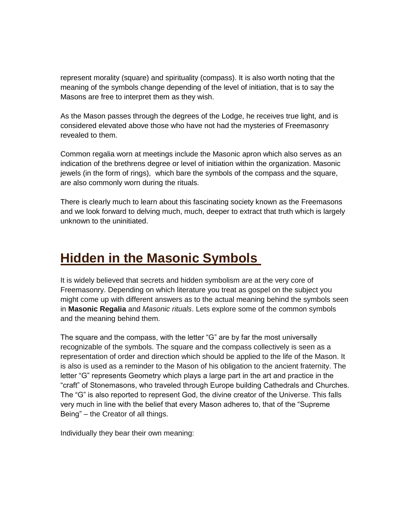represent morality (square) and spirituality (compass). It is also worth noting that the meaning of the symbols change depending of the level of initiation, that is to say the Masons are free to interpret them as they wish.

As the Mason passes through the degrees of the Lodge, he receives true light, and is considered elevated above those who have not had the mysteries of Freemasonry revealed to them.

Common regalia worn at meetings include the Masonic apron which also serves as an indication of the brethrens degree or level of initiation within the organization. Masonic jewels (in the form of rings), which bare the symbols of the compass and the square, are also commonly worn during the rituals.

There is clearly much to learn about this fascinating society known as the Freemasons and we look forward to delving much, much, deeper to extract that truth which is largely unknown to the uninitiated.

## **[Hidden in the Masonic Symbols](http://www.masonicregaliaportal.com/masonic-symbols/hidden-in-the-masonic-symbols)**

It is widely believed that secrets and hidden symbolism are at the very core of Freemasonry. Depending on which literature you treat as gospel on the subject you might come up with different answers as to the actual meaning behind the symbols seen in **Masonic Regalia** and *Masonic rituals*. Lets explore some of the common symbols and the meaning behind them.

The square and the compass, with the letter "G" are by far the most universally recognizable of the symbols. The square and the compass collectively is seen as a representation of order and direction which should be applied to the life of the Mason. It is also is used as a reminder to the Mason of his obligation to the ancient fraternity. The letter "G" represents Geometry which plays a large part in the art and practice in the "craft" of Stonemasons, who traveled through Europe building Cathedrals and Churches. The "G" is also reported to represent God, the divine creator of the Universe. This falls very much in line with the belief that every Mason adheres to, that of the "Supreme Being" – the Creator of all things.

Individually they bear their own meaning: